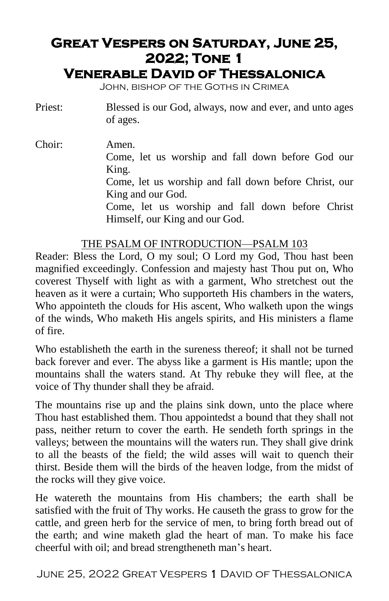# **Great Vespers on Saturday, June 25, 2022; Tone 1**

# **Venerable David of Thessalonica**

John, bishop of the Goths in Crimea

Priest: Blessed is our God, always, now and ever, and unto ages of ages.

Choir: Amen. Come, let us worship and fall down before God our King. Come, let us worship and fall down before Christ, our King and our God. Come, let us worship and fall down before Christ Himself, our King and our God.

#### THE PSALM OF INTRODUCTION—PSALM 103

Reader: Bless the Lord, O my soul; O Lord my God, Thou hast been magnified exceedingly. Confession and majesty hast Thou put on, Who coverest Thyself with light as with a garment, Who stretchest out the heaven as it were a curtain; Who supporteth His chambers in the waters, Who appointeth the clouds for His ascent, Who walketh upon the wings of the winds, Who maketh His angels spirits, and His ministers a flame of fire.

Who establisheth the earth in the sureness thereof; it shall not be turned back forever and ever. The abyss like a garment is His mantle; upon the mountains shall the waters stand. At Thy rebuke they will flee, at the voice of Thy thunder shall they be afraid.

The mountains rise up and the plains sink down, unto the place where Thou hast established them. Thou appointedst a bound that they shall not pass, neither return to cover the earth. He sendeth forth springs in the valleys; between the mountains will the waters run. They shall give drink to all the beasts of the field; the wild asses will wait to quench their thirst. Beside them will the birds of the heaven lodge, from the midst of the rocks will they give voice.

He watereth the mountains from His chambers; the earth shall be satisfied with the fruit of Thy works. He causeth the grass to grow for the cattle, and green herb for the service of men, to bring forth bread out of the earth; and wine maketh glad the heart of man. To make his face cheerful with oil; and bread strengtheneth man's heart.

June 25, 2022 Great Vespers 1 David of Thessalonica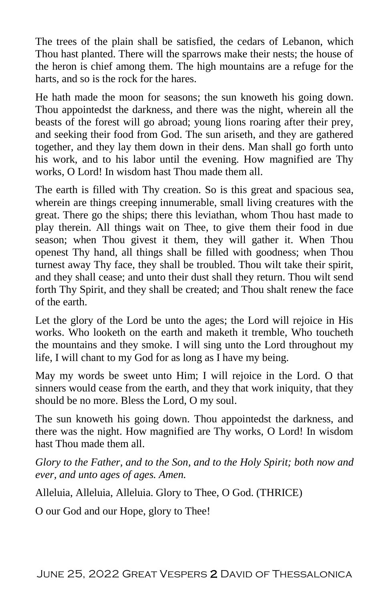The trees of the plain shall be satisfied, the cedars of Lebanon, which Thou hast planted. There will the sparrows make their nests; the house of the heron is chief among them. The high mountains are a refuge for the harts, and so is the rock for the hares.

He hath made the moon for seasons; the sun knoweth his going down. Thou appointedst the darkness, and there was the night, wherein all the beasts of the forest will go abroad; young lions roaring after their prey, and seeking their food from God. The sun ariseth, and they are gathered together, and they lay them down in their dens. Man shall go forth unto his work, and to his labor until the evening. How magnified are Thy works, O Lord! In wisdom hast Thou made them all.

The earth is filled with Thy creation. So is this great and spacious sea, wherein are things creeping innumerable, small living creatures with the great. There go the ships; there this leviathan, whom Thou hast made to play therein. All things wait on Thee, to give them their food in due season; when Thou givest it them, they will gather it. When Thou openest Thy hand, all things shall be filled with goodness; when Thou turnest away Thy face, they shall be troubled. Thou wilt take their spirit, and they shall cease; and unto their dust shall they return. Thou wilt send forth Thy Spirit, and they shall be created; and Thou shalt renew the face of the earth.

Let the glory of the Lord be unto the ages; the Lord will rejoice in His works. Who looketh on the earth and maketh it tremble, Who toucheth the mountains and they smoke. I will sing unto the Lord throughout my life, I will chant to my God for as long as I have my being.

May my words be sweet unto Him; I will rejoice in the Lord. O that sinners would cease from the earth, and they that work iniquity, that they should be no more. Bless the Lord, O my soul.

The sun knoweth his going down. Thou appointedst the darkness, and there was the night. How magnified are Thy works, O Lord! In wisdom hast Thou made them all.

*Glory to the Father, and to the Son, and to the Holy Spirit; both now and ever, and unto ages of ages. Amen.*

Alleluia, Alleluia, Alleluia. Glory to Thee, O God. (THRICE)

O our God and our Hope, glory to Thee!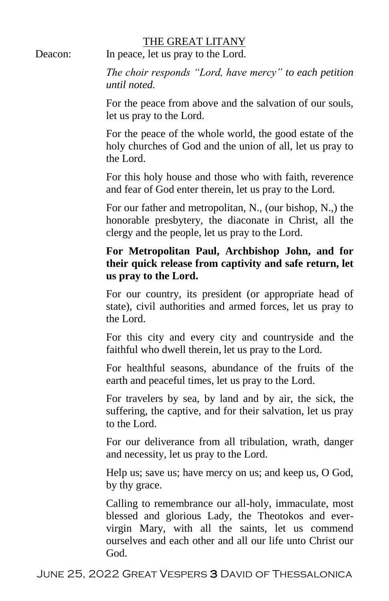#### THE GREAT LITANY

Deacon: In peace, let us pray to the Lord.

*The choir responds "Lord, have mercy" to each petition until noted.*

For the peace from above and the salvation of our souls, let us pray to the Lord.

For the peace of the whole world, the good estate of the holy churches of God and the union of all, let us pray to the Lord.

For this holy house and those who with faith, reverence and fear of God enter therein, let us pray to the Lord.

For our father and metropolitan, N., (our bishop, N.,) the honorable presbytery, the diaconate in Christ, all the clergy and the people, let us pray to the Lord.

#### **For Metropolitan Paul, Archbishop John, and for their quick release from captivity and safe return, let us pray to the Lord.**

For our country, its president (or appropriate head of state), civil authorities and armed forces, let us pray to the Lord.

For this city and every city and countryside and the faithful who dwell therein, let us pray to the Lord.

For healthful seasons, abundance of the fruits of the earth and peaceful times, let us pray to the Lord.

For travelers by sea, by land and by air, the sick, the suffering, the captive, and for their salvation, let us pray to the Lord.

For our deliverance from all tribulation, wrath, danger and necessity, let us pray to the Lord.

Help us; save us; have mercy on us; and keep us, O God, by thy grace.

Calling to remembrance our all-holy, immaculate, most blessed and glorious Lady, the Theotokos and evervirgin Mary, with all the saints, let us commend ourselves and each other and all our life unto Christ our God.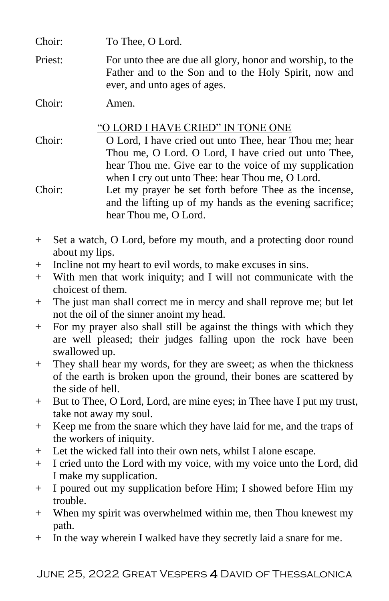Choir: To Thee, O Lord.

Priest: For unto thee are due all glory, honor and worship, to the Father and to the Son and to the Holy Spirit, now and ever, and unto ages of ages.

Choir: Amen.

"O LORD I HAVE CRIED" IN TONE ONE

- Choir: O Lord, I have cried out unto Thee, hear Thou me; hear Thou me, O Lord. O Lord, I have cried out unto Thee, hear Thou me. Give ear to the voice of my supplication when I cry out unto Thee: hear Thou me, O Lord.
- Choir: Let my prayer be set forth before Thee as the incense, and the lifting up of my hands as the evening sacrifice; hear Thou me, O Lord.
- + Set a watch, O Lord, before my mouth, and a protecting door round about my lips.
- + Incline not my heart to evil words, to make excuses in sins.
- + With men that work iniquity; and I will not communicate with the choicest of them.
- + The just man shall correct me in mercy and shall reprove me; but let not the oil of the sinner anoint my head.
- + For my prayer also shall still be against the things with which they are well pleased; their judges falling upon the rock have been swallowed up.
- + They shall hear my words, for they are sweet; as when the thickness of the earth is broken upon the ground, their bones are scattered by the side of hell.
- + But to Thee, O Lord, Lord, are mine eyes; in Thee have I put my trust, take not away my soul.
- + Keep me from the snare which they have laid for me, and the traps of the workers of iniquity.
- + Let the wicked fall into their own nets, whilst I alone escape.
- + I cried unto the Lord with my voice, with my voice unto the Lord, did I make my supplication.
- + I poured out my supplication before Him; I showed before Him my trouble.
- + When my spirit was overwhelmed within me, then Thou knewest my path.
- + In the way wherein I walked have they secretly laid a snare for me.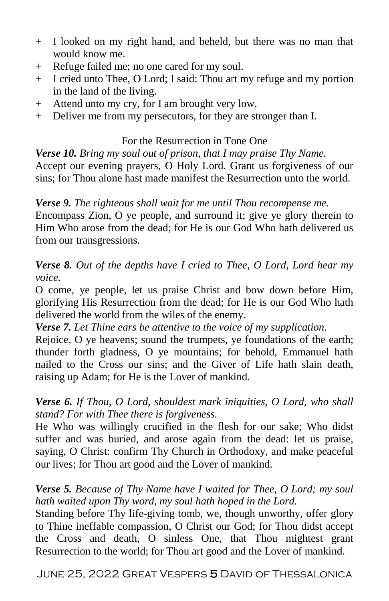- + I looked on my right hand, and beheld, but there was no man that would know me.
- + Refuge failed me; no one cared for my soul.
- + I cried unto Thee, O Lord; I said: Thou art my refuge and my portion in the land of the living.
- + Attend unto my cry, for I am brought very low.
- + Deliver me from my persecutors, for they are stronger than I.

#### For the Resurrection in Tone One

*Verse 10. Bring my soul out of prison, that I may praise Thy Name.* Accept our evening prayers, O Holy Lord. Grant us forgiveness of our sins; for Thou alone hast made manifest the Resurrection unto the world.

*Verse 9. The righteous shall wait for me until Thou recompense me.* Encompass Zion, O ye people, and surround it; give ye glory therein to Him Who arose from the dead; for He is our God Who hath delivered us from our transgressions.

*Verse 8. Out of the depths have I cried to Thee, O Lord, Lord hear my voice.*

O come, ye people, let us praise Christ and bow down before Him, glorifying His Resurrection from the dead; for He is our God Who hath delivered the world from the wiles of the enemy.

*Verse 7. Let Thine ears be attentive to the voice of my supplication.*

Rejoice, O ye heavens; sound the trumpets, ye foundations of the earth; thunder forth gladness, O ye mountains; for behold, Emmanuel hath nailed to the Cross our sins; and the Giver of Life hath slain death, raising up Adam; for He is the Lover of mankind.

#### *Verse 6. If Thou, O Lord, shouldest mark iniquities, O Lord, who shall stand? For with Thee there is forgiveness.*

He Who was willingly crucified in the flesh for our sake; Who didst suffer and was buried, and arose again from the dead: let us praise, saying, O Christ: confirm Thy Church in Orthodoxy, and make peaceful our lives; for Thou art good and the Lover of mankind.

#### *Verse 5. Because of Thy Name have I waited for Thee, O Lord; my soul hath waited upon Thy word, my soul hath hoped in the Lord.*

Standing before Thy life-giving tomb, we, though unworthy, offer glory to Thine ineffable compassion, O Christ our God; for Thou didst accept the Cross and death, O sinless One, that Thou mightest grant Resurrection to the world; for Thou art good and the Lover of mankind.

June 25, 2022 Great Vespers 5 David of Thessalonica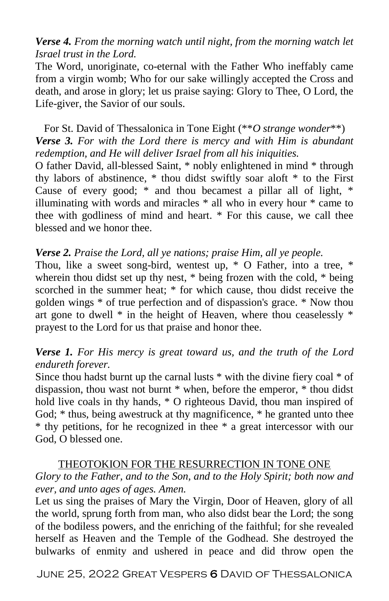## *Verse 4. From the morning watch until night, from the morning watch let Israel trust in the Lord.*

The Word, unoriginate, co-eternal with the Father Who ineffably came from a virgin womb; Who for our sake willingly accepted the Cross and death, and arose in glory; let us praise saying: Glory to Thee, O Lord, the Life-giver, the Savior of our souls.

#### For St. David of Thessalonica in Tone Eight (\*\**O strange wonder*\*\*) *Verse 3. For with the Lord there is mercy and with Him is abundant redemption, and He will deliver Israel from all his iniquities.*

O father David, all-blessed Saint, \* nobly enlightened in mind \* through thy labors of abstinence, \* thou didst swiftly soar aloft \* to the First Cause of every good; \* and thou becamest a pillar all of light, \* illuminating with words and miracles \* all who in every hour \* came to thee with godliness of mind and heart. \* For this cause, we call thee blessed and we honor thee.

#### *Verse 2. Praise the Lord, all ye nations; praise Him, all ye people.*

Thou, like a sweet song-bird, wentest up, \* O Father, into a tree, \* wherein thou didst set up thy nest,  $*$  being frozen with the cold,  $*$  being scorched in the summer heat; \* for which cause, thou didst receive the golden wings \* of true perfection and of dispassion's grace. \* Now thou art gone to dwell \* in the height of Heaven, where thou ceaselessly \* prayest to the Lord for us that praise and honor thee.

## *Verse 1. For His mercy is great toward us, and the truth of the Lord endureth forever.*

Since thou hadst burnt up the carnal lusts \* with the divine fiery coal \* of dispassion, thou wast not burnt \* when, before the emperor, \* thou didst hold live coals in thy hands, \* O righteous David, thou man inspired of God; \* thus, being awestruck at thy magnificence, \* he granted unto thee \* thy petitions, for he recognized in thee \* a great intercessor with our God, O blessed one.

#### THEOTOKION FOR THE RESURRECTION IN TONE ONE

## *Glory to the Father, and to the Son, and to the Holy Spirit; both now and ever, and unto ages of ages. Amen.*

Let us sing the praises of Mary the Virgin, Door of Heaven, glory of all the world, sprung forth from man, who also didst bear the Lord; the song of the bodiless powers, and the enriching of the faithful; for she revealed herself as Heaven and the Temple of the Godhead. She destroyed the bulwarks of enmity and ushered in peace and did throw open the

June 25, 2022 Great Vespers 6 David of Thessalonica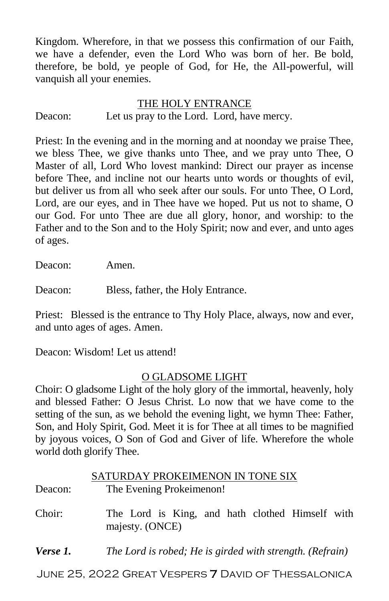Kingdom. Wherefore, in that we possess this confirmation of our Faith, we have a defender, even the Lord Who was born of her. Be bold, therefore, be bold, ye people of God, for He, the All-powerful, will vanquish all your enemies.

#### THE HOLY ENTRANCE Deacon: Let us pray to the Lord. Lord, have mercy.

Priest: In the evening and in the morning and at noonday we praise Thee, we bless Thee, we give thanks unto Thee, and we pray unto Thee, O Master of all, Lord Who lovest mankind: Direct our prayer as incense before Thee, and incline not our hearts unto words or thoughts of evil, but deliver us from all who seek after our souls. For unto Thee, O Lord, Lord, are our eyes, and in Thee have we hoped. Put us not to shame, O our God. For unto Thee are due all glory, honor, and worship: to the Father and to the Son and to the Holy Spirit; now and ever, and unto ages of ages.

Deacon: Amen.

Deacon: Bless, father, the Holy Entrance.

Priest: Blessed is the entrance to Thy Holy Place, always, now and ever, and unto ages of ages. Amen.

Deacon: Wisdom! Let us attend!

#### O GLADSOME LIGHT

Choir: O gladsome Light of the holy glory of the immortal, heavenly, holy and blessed Father: O Jesus Christ. Lo now that we have come to the setting of the sun, as we behold the evening light, we hymn Thee: Father, Son, and Holy Spirit, God. Meet it is for Thee at all times to be magnified by joyous voices, O Son of God and Giver of life. Wherefore the whole world doth glorify Thee.

|          | SATURDAY PROKEIMENON IN TONE SIX                                   |
|----------|--------------------------------------------------------------------|
| Deacon:  | The Evening Prokeimenon!                                           |
| Choir:   | The Lord is King, and hath clothed Himself with<br>majesty. (ONCE) |
| Verse 1. | The Lord is robed; He is girded with strength. (Refrain)           |

June 25, 2022 Great Vespers 7 David of Thessalonica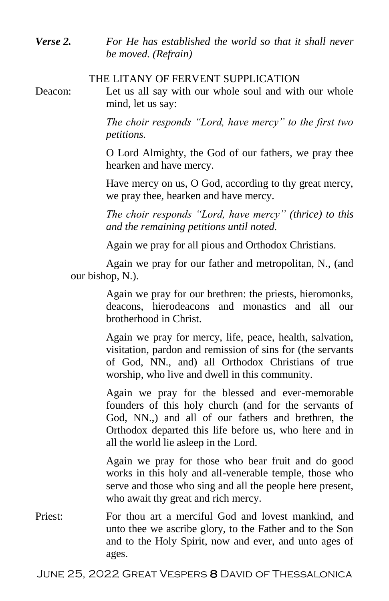*Verse 2. For He has established the world so that it shall never be moved. (Refrain)*

#### THE LITANY OF FERVENT SUPPLICATION

Deacon: Let us all say with our whole soul and with our whole mind, let us say:

> *The choir responds "Lord, have mercy" to the first two petitions.*

> O Lord Almighty, the God of our fathers, we pray thee hearken and have mercy.

> Have mercy on us, O God, according to thy great mercy, we pray thee, hearken and have mercy.

> *The choir responds "Lord, have mercy" (thrice) to this and the remaining petitions until noted.*

Again we pray for all pious and Orthodox Christians.

Again we pray for our father and metropolitan, N., (and our bishop, N.).

> Again we pray for our brethren: the priests, hieromonks, deacons, hierodeacons and monastics and all our brotherhood in Christ.

> Again we pray for mercy, life, peace, health, salvation, visitation, pardon and remission of sins for (the servants of God, NN., and) all Orthodox Christians of true worship, who live and dwell in this community.

> Again we pray for the blessed and ever-memorable founders of this holy church (and for the servants of God, NN.,) and all of our fathers and brethren, the Orthodox departed this life before us, who here and in all the world lie asleep in the Lord.

> Again we pray for those who bear fruit and do good works in this holy and all-venerable temple, those who serve and those who sing and all the people here present, who await thy great and rich mercy.

Priest: For thou art a merciful God and lovest mankind, and unto thee we ascribe glory, to the Father and to the Son and to the Holy Spirit, now and ever, and unto ages of ages.

June 25, 2022 Great Vespers 8 David of Thessalonica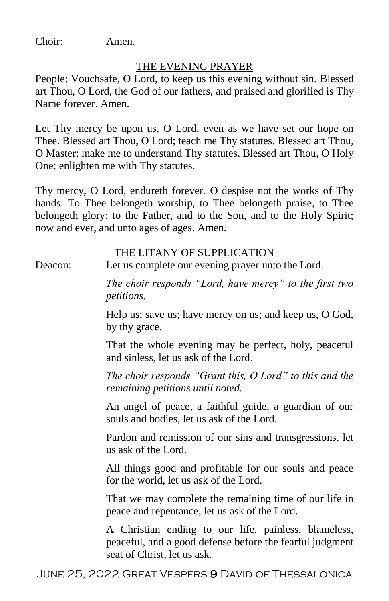Choir: Amen.

#### THE EVENING PRAYER

People: Vouchsafe, O Lord, to keep us this evening without sin. Blessed art Thou, O Lord, the God of our fathers, and praised and glorified is Thy Name forever. Amen.

Let Thy mercy be upon us, O Lord, even as we have set our hope on Thee. Blessed art Thou, O Lord; teach me Thy statutes. Blessed art Thou, O Master; make me to understand Thy statutes. Blessed art Thou, O Holy One; enlighten me with Thy statutes.

Thy mercy, O Lord, endureth forever. O despise not the works of Thy hands. To Thee belongeth worship, to Thee belongeth praise, to Thee belongeth glory: to the Father, and to the Son, and to the Holy Spirit; now and ever, and unto ages of ages. Amen.

#### THE LITANY OF SUPPLICATION

Deacon: Let us complete our evening prayer unto the Lord.

*The choir responds "Lord, have mercy" to the first two petitions.*

Help us; save us; have mercy on us; and keep us, O God, by thy grace.

That the whole evening may be perfect, holy, peaceful and sinless, let us ask of the Lord.

*The choir responds "Grant this, O Lord" to this and the remaining petitions until noted.*

An angel of peace, a faithful guide, a guardian of our souls and bodies, let us ask of the Lord.

Pardon and remission of our sins and transgressions, let us ask of the Lord.

All things good and profitable for our souls and peace for the world, let us ask of the Lord.

That we may complete the remaining time of our life in peace and repentance, let us ask of the Lord.

A Christian ending to our life, painless, blameless, peaceful, and a good defense before the fearful judgment seat of Christ, let us ask.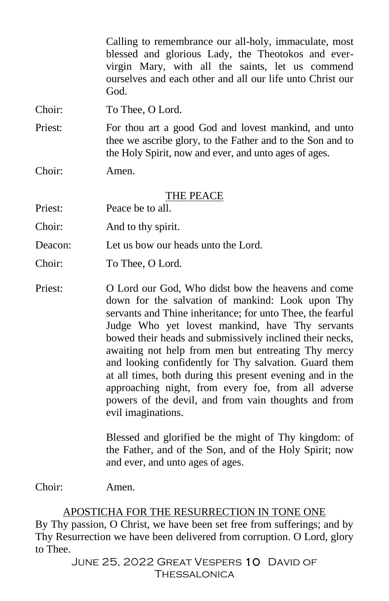Calling to remembrance our all-holy, immaculate, most blessed and glorious Lady, the Theotokos and evervirgin Mary, with all the saints, let us commend ourselves and each other and all our life unto Christ our God.

Choir: To Thee, O Lord.

Priest: For thou art a good God and lovest mankind, and unto thee we ascribe glory, to the Father and to the Son and to the Holy Spirit, now and ever, and unto ages of ages.

Choir: Amen.

THE PEACE

Priest: Peace be to all.

Choir: And to thy spirit.

Deacon: Let us bow our heads unto the Lord.

Choir: To Thee, O Lord.

Priest: O Lord our God, Who didst bow the heavens and come down for the salvation of mankind: Look upon Thy servants and Thine inheritance; for unto Thee, the fearful Judge Who yet lovest mankind, have Thy servants bowed their heads and submissively inclined their necks, awaiting not help from men but entreating Thy mercy and looking confidently for Thy salvation. Guard them at all times, both during this present evening and in the approaching night, from every foe, from all adverse powers of the devil, and from vain thoughts and from evil imaginations.

> Blessed and glorified be the might of Thy kingdom: of the Father, and of the Son, and of the Holy Spirit; now and ever, and unto ages of ages.

Choir: Amen.

#### APOSTICHA FOR THE RESURRECTION IN TONE ONE

By Thy passion, O Christ, we have been set free from sufferings; and by Thy Resurrection we have been delivered from corruption. O Lord, glory to Thee.

> JUNE 25, 2022 GREAT VESPERS 10 DAVID OF Thessalonica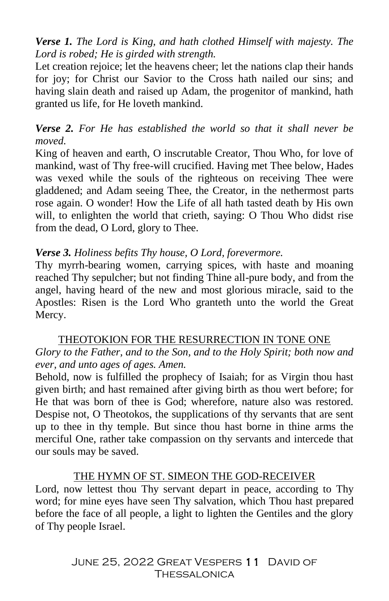*Verse 1. The Lord is King, and hath clothed Himself with majesty. The Lord is robed; He is girded with strength.*

Let creation rejoice; let the heavens cheer; let the nations clap their hands for joy; for Christ our Savior to the Cross hath nailed our sins; and having slain death and raised up Adam, the progenitor of mankind, hath granted us life, for He loveth mankind.

#### *Verse 2. For He has established the world so that it shall never be moved.*

King of heaven and earth, O inscrutable Creator, Thou Who, for love of mankind, wast of Thy free-will crucified. Having met Thee below, Hades was vexed while the souls of the righteous on receiving Thee were gladdened; and Adam seeing Thee, the Creator, in the nethermost parts rose again. O wonder! How the Life of all hath tasted death by His own will, to enlighten the world that crieth, saying: O Thou Who didst rise from the dead, O Lord, glory to Thee.

#### *Verse 3. Holiness befits Thy house, O Lord, forevermore.*

Thy myrrh-bearing women, carrying spices, with haste and moaning reached Thy sepulcher; but not finding Thine all-pure body, and from the angel, having heard of the new and most glorious miracle, said to the Apostles: Risen is the Lord Who granteth unto the world the Great Mercy.

#### THEOTOKION FOR THE RESURRECTION IN TONE ONE

#### *Glory to the Father, and to the Son, and to the Holy Spirit; both now and ever, and unto ages of ages. Amen.*

Behold, now is fulfilled the prophecy of Isaiah; for as Virgin thou hast given birth; and hast remained after giving birth as thou wert before; for He that was born of thee is God; wherefore, nature also was restored. Despise not, O Theotokos, the supplications of thy servants that are sent up to thee in thy temple. But since thou hast borne in thine arms the merciful One, rather take compassion on thy servants and intercede that our souls may be saved.

#### THE HYMN OF ST. SIMEON THE GOD-RECEIVER

Lord, now lettest thou Thy servant depart in peace, according to Thy word; for mine eyes have seen Thy salvation, which Thou hast prepared before the face of all people, a light to lighten the Gentiles and the glory of Thy people Israel.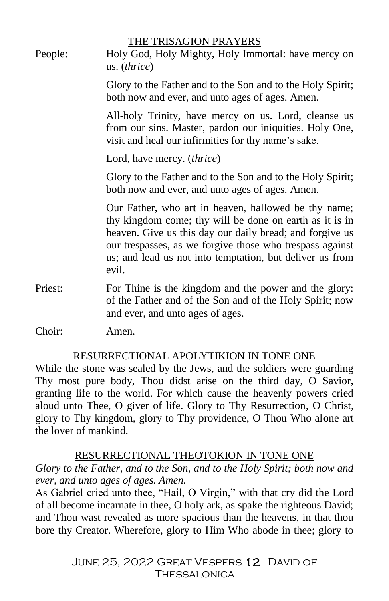| People: | THE TRISAGION PRAYERS<br>Holy God, Holy Mighty, Holy Immortal: have mercy on<br>us. (thrice)                                                                                                                                                                                                                 |
|---------|--------------------------------------------------------------------------------------------------------------------------------------------------------------------------------------------------------------------------------------------------------------------------------------------------------------|
|         | Glory to the Father and to the Son and to the Holy Spirit;<br>both now and ever, and unto ages of ages. Amen.                                                                                                                                                                                                |
|         | All-holy Trinity, have mercy on us. Lord, cleanse us<br>from our sins. Master, pardon our iniquities. Holy One,<br>visit and heal our infirmities for thy name's sake.                                                                                                                                       |
|         | Lord, have mercy. (thrice)                                                                                                                                                                                                                                                                                   |
|         | Glory to the Father and to the Son and to the Holy Spirit;<br>both now and ever, and unto ages of ages. Amen.                                                                                                                                                                                                |
|         | Our Father, who art in heaven, hallowed be thy name;<br>thy kingdom come; thy will be done on earth as it is in<br>heaven. Give us this day our daily bread; and forgive us<br>our trespasses, as we forgive those who trespass against<br>us; and lead us not into temptation, but deliver us from<br>evil. |
| Priest: | For Thine is the kingdom and the power and the glory:<br>of the Father and of the Son and of the Holy Spirit; now<br>and ever, and unto ages of ages.                                                                                                                                                        |
| Choir:  | Amen.                                                                                                                                                                                                                                                                                                        |

# RESURRECTIONAL APOLYTIKION IN TONE ONE

While the stone was sealed by the Jews, and the soldiers were guarding Thy most pure body, Thou didst arise on the third day, O Savior, granting life to the world. For which cause the heavenly powers cried aloud unto Thee, O giver of life. Glory to Thy Resurrection, O Christ, glory to Thy kingdom, glory to Thy providence, O Thou Who alone art the lover of mankind.

# RESURRECTIONAL THEOTOKION IN TONE ONE

*Glory to the Father, and to the Son, and to the Holy Spirit; both now and ever, and unto ages of ages. Amen.*

As Gabriel cried unto thee, "Hail, O Virgin," with that cry did the Lord of all become incarnate in thee, O holy ark, as spake the righteous David; and Thou wast revealed as more spacious than the heavens, in that thou bore thy Creator. Wherefore, glory to Him Who abode in thee; glory to

> JUNE 25, 2022 GREAT VESPERS 12 DAVID OF Thessalonica